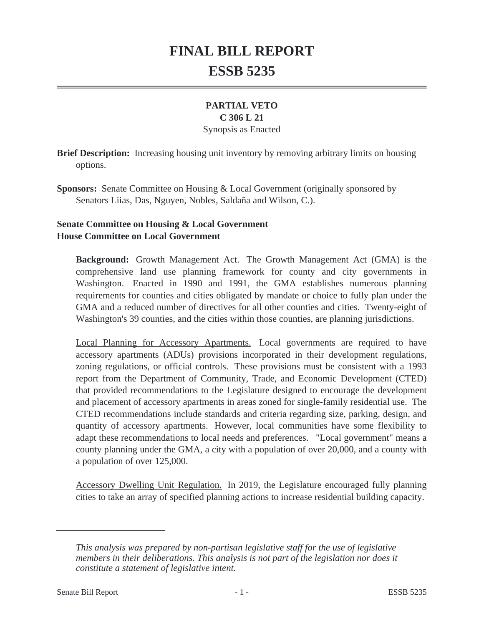# **FINAL BILL REPORT ESSB 5235**

## **PARTIAL VETO**

## **C 306 L 21**

#### Synopsis as Enacted

**Brief Description:** Increasing housing unit inventory by removing arbitrary limits on housing options.

**Sponsors:** Senate Committee on Housing & Local Government (originally sponsored by Senators Liias, Das, Nguyen, Nobles, Saldaña and Wilson, C.).

## **Senate Committee on Housing & Local Government House Committee on Local Government**

**Background:** Growth Management Act. The Growth Management Act (GMA) is the comprehensive land use planning framework for county and city governments in Washington. Enacted in 1990 and 1991, the GMA establishes numerous planning requirements for counties and cities obligated by mandate or choice to fully plan under the GMA and a reduced number of directives for all other counties and cities. Twenty-eight of Washington's 39 counties, and the cities within those counties, are planning jurisdictions.

Local Planning for Accessory Apartments. Local governments are required to have accessory apartments (ADUs) provisions incorporated in their development regulations, zoning regulations, or official controls. These provisions must be consistent with a 1993 report from the Department of Community, Trade, and Economic Development (CTED) that provided recommendations to the Legislature designed to encourage the development and placement of accessory apartments in areas zoned for single-family residential use. The CTED recommendations include standards and criteria regarding size, parking, design, and quantity of accessory apartments. However, local communities have some flexibility to adapt these recommendations to local needs and preferences. "Local government" means a county planning under the GMA, a city with a population of over 20,000, and a county with a population of over 125,000.

Accessory Dwelling Unit Regulation. In 2019, the Legislature encouraged fully planning cities to take an array of specified planning actions to increase residential building capacity.

*This analysis was prepared by non-partisan legislative staff for the use of legislative members in their deliberations. This analysis is not part of the legislation nor does it constitute a statement of legislative intent.*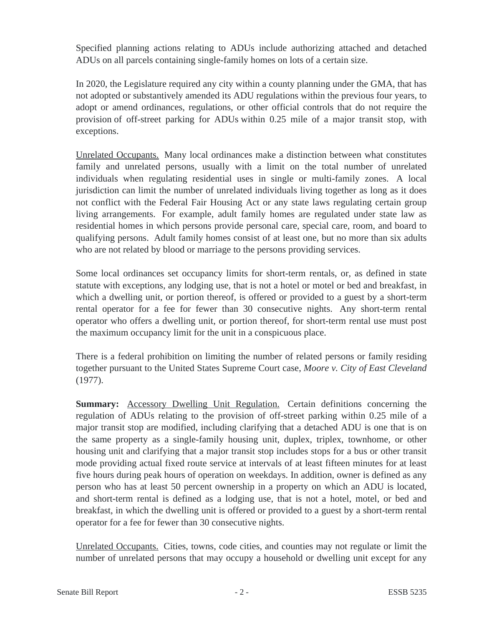Specified planning actions relating to ADUs include authorizing attached and detached ADUs on all parcels containing single-family homes on lots of a certain size.

In 2020, the Legislature required any city within a county planning under the GMA, that has not adopted or substantively amended its ADU regulations within the previous four years, to adopt or amend ordinances, regulations, or other official controls that do not require the provision of off-street parking for ADUs within 0.25 mile of a major transit stop, with exceptions.

Unrelated Occupants. Many local ordinances make a distinction between what constitutes family and unrelated persons, usually with a limit on the total number of unrelated individuals when regulating residential uses in single or multi-family zones. A local jurisdiction can limit the number of unrelated individuals living together as long as it does not conflict with the Federal Fair Housing Act or any state laws regulating certain group living arrangements. For example, adult family homes are regulated under state law as residential homes in which persons provide personal care, special care, room, and board to qualifying persons. Adult family homes consist of at least one, but no more than six adults who are not related by blood or marriage to the persons providing services.

Some local ordinances set occupancy limits for short-term rentals, or, as defined in state statute with exceptions, any lodging use, that is not a hotel or motel or bed and breakfast, in which a dwelling unit, or portion thereof, is offered or provided to a guest by a short-term rental operator for a fee for fewer than 30 consecutive nights. Any short-term rental operator who offers a dwelling unit, or portion thereof, for short-term rental use must post the maximum occupancy limit for the unit in a conspicuous place.

There is a federal prohibition on limiting the number of related persons or family residing together pursuant to the United States Supreme Court case, *Moore v. City of East Cleveland* (1977).

**Summary:** Accessory Dwelling Unit Regulation. Certain definitions concerning the regulation of ADUs relating to the provision of off-street parking within 0.25 mile of a major transit stop are modified, including clarifying that a detached ADU is one that is on the same property as a single-family housing unit, duplex, triplex, townhome, or other housing unit and clarifying that a major transit stop includes stops for a bus or other transit mode providing actual fixed route service at intervals of at least fifteen minutes for at least five hours during peak hours of operation on weekdays. In addition, owner is defined as any person who has at least 50 percent ownership in a property on which an ADU is located, and short-term rental is defined as a lodging use, that is not a hotel, motel, or bed and breakfast, in which the dwelling unit is offered or provided to a guest by a short-term rental operator for a fee for fewer than 30 consecutive nights.

Unrelated Occupants. Cities, towns, code cities, and counties may not regulate or limit the number of unrelated persons that may occupy a household or dwelling unit except for any